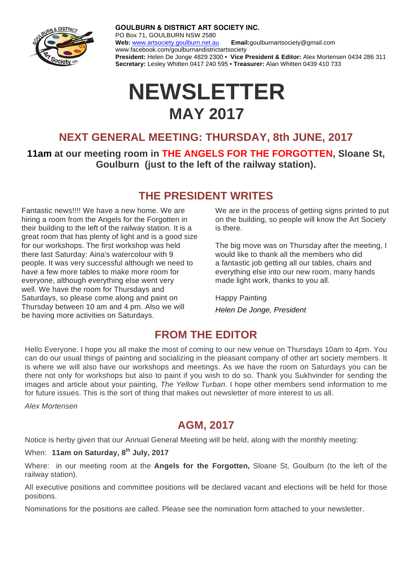

**GOULBURN & DISTRICT ART SOCIETY INC.** PO Box 71, GOULBURN NSW 2580 **Web:** www.artsociety.goulburn.net.au **Email:**goulburnartsociety@gmail.com www.facebook.com/goulburnandistrictartsociety **President:** Helen De Jonge 4829 2300 • **Vice President & Editor:** Alex Mortensen 0434 286 311 **Secretary:** Lesley Whitten 0417 240 595 • **Treasurer:** Alan Whitten 0439 410 733

# **NEWSLETTER MAY 2017**

### **NEXT GENERAL MEETING: THURSDAY, 8th JUNE, 2017**

**11am at our meeting room in THE ANGELS FOR THE FORGOTTEN, Sloane St, Goulburn (just to the left of the railway station).** 

### **THE PRESIDENT WRITES**

Fantastic news!!!! We have a new home. We are hiring a room from the Angels for the Forgotten in their building to the left of the railway station. It is a great room that has plenty of light and is a good size for our workshops. The first workshop was held there last Saturday: Aina's watercolour with 9 people. It was very successful although we need to have a few more tables to make more room for everyone, although everything else went very well. We have the room for Thursdays and Saturdays, so please come along and paint on Thursday between 10 am and 4 pm. Also we will be having more activities on Saturdays.

We are in the process of getting signs printed to put on the building, so people will know the Art Society is there.

The big move was on Thursday after the meeting, I would like to thank all the members who did a fantastic job getting all our tables, chairs and everything else into our new room, many hands made light work, thanks to you all.

Happy Painting *Helen De Jonge, President* 

### **FROM THE EDITOR**

Hello Everyone. I hope you all make the most of coming to our new venue on Thursdays 10am to 4pm. You can do our usual things of painting and socializing in the pleasant company of other art society members. It is where we will also have our workshops and meetings. As we have the room on Saturdays you can be there not only for workshops but also to paint if you wish to do so. Thank you Sukhvinder for sending the images and article about your painting, *The Yellow Turban*. I hope other members send information to me for future issues. This is the sort of thing that makes out newsletter of more interest to us all.

*Alex Mortensen*

### **AGM, 2017**

Notice is herby given that our Annual General Meeting will be held, along with the monthly meeting:

### When: **11am on Saturday, 8th July, 2017**

Where: in our meeting room at the **Angels for the Forgotten,** Sloane St, Goulburn (to the left of the railway station).

All executive positions and committee positions will be declared vacant and elections will be held for those positions.

Nominations for the positions are called. Please see the nomination form attached to your newsletter.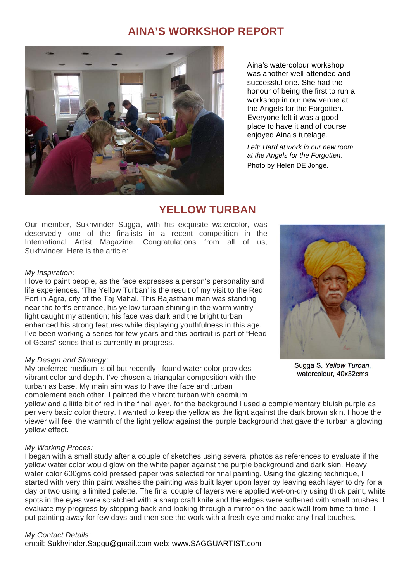### **AINA'S WORKSHOP REPORT**



Aina's watercolour workshop was another well-attended and successful one. She had the honour of being the first to run a workshop in our new venue at the Angels for the Forgotten. Everyone felt it was a good place to have it and of course enjoyed Aina's tutelage.

*Left: Hard at work in our new room at the Angels for the Forgotten.*  Photo by Helen DE Jonge.

### **YELLOW TURBAN**

Our member, Sukhvinder Sugga, with his exquisite watercolor, was deservedly one of the finalists in a recent competition in the International Artist Magazine. Congratulations from all of us, Sukhvinder. Here is the article:

#### *My Inspiration*:

I love to paint people, as the face expresses a person's personality and life experiences. 'The Yellow Turban' is the result of my visit to the Red Fort in Agra, city of the Taj Mahal. This Rajasthani man was standing near the fort's entrance, his yellow turban shining in the warm wintry light caught my attention; his face was dark and the bright turban enhanced his strong features while displaying youthfulness in this age. I've been working a series for few years and this portrait is part of "Head of Gears" series that is currently in progress.

#### *My Design and Strategy:*

My preferred medium is oil but recently I found water color provides vibrant color and depth. I've chosen a triangular composition with the turban as base. My main aim was to have the face and turban complement each other. I painted the vibrant turban with cadmium



#### *My Working Proces:*

I began with a small study after a couple of sketches using several photos as references to evaluate if the yellow water color would glow on the white paper against the purple background and dark skin. Heavy water color 600gms cold pressed paper was selected for final painting. Using the glazing technique, I started with very thin paint washes the painting was built layer upon layer by leaving each layer to dry for a day or two using a limited palette. The final couple of layers were applied wet-on-dry using thick paint, white spots in the eyes were scratched with a sharp craft knife and the edges were softened with small brushes. I evaluate my progress by stepping back and looking through a mirror on the back wall from time to time. I put painting away for few days and then see the work with a fresh eye and make any final touches.

#### *My Contact Details:*

email: Sukhvinder.Saggu@gmail.com web: www.SAGGUARTIST.com



Sugga S. *Yellow Turban*, watercolour, 40x32cms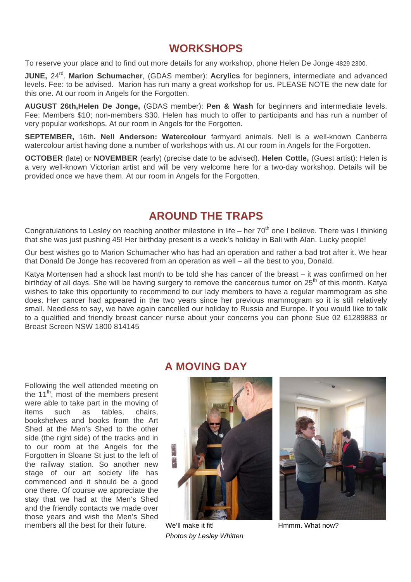### **WORKSHOPS**

To reserve your place and to find out more details for any workshop, phone Helen De Jonge 4829 2300.

**JUNE, 24<sup>rd</sup>. Marion Schumacher**, (GDAS member): **Acrylics** for beginners, intermediate and advanced levels. Fee: to be advised. Marion has run many a great workshop for us. PLEASE NOTE the new date for this one. At our room in Angels for the Forgotten.

**AUGUST 26th,Helen De Jonge,** (GDAS member): **Pen & Wash** for beginners and intermediate levels. Fee: Members \$10; non-members \$30. Helen has much to offer to participants and has run a number of very popular workshops. At our room in Angels for the Forgotten.

**SEPTEMBER,** 16th**. Nell Anderson: Watercolour** farmyard animals. Nell is a well-known Canberra watercolour artist having done a number of workshops with us. At our room in Angels for the Forgotten.

**OCTOBER** (late) or **NOVEMBER** (early) (precise date to be advised). **Helen Cottle,** (Guest artist): Helen is a very well-known Victorian artist and will be very welcome here for a two-day workshop. Details will be provided once we have them. At our room in Angels for the Forgotten.

### **AROUND THE TRAPS**

Congratulations to Lesley on reaching another milestone in life – her  $70<sup>th</sup>$  one I believe. There was I thinking that she was just pushing 45! Her birthday present is a week's holiday in Bali with Alan. Lucky people!

Our best wishes go to Marion Schumacher who has had an operation and rather a bad trot after it. We hear that Donald De Jonge has recovered from an operation as well – all the best to you, Donald.

Katya Mortensen had a shock last month to be told she has cancer of the breast – it was confirmed on her birthday of all days. She will be having surgery to remove the cancerous tumor on 25<sup>th</sup> of this month. Katya wishes to take this opportunity to recommend to our lady members to have a regular mammogram as she does. Her cancer had appeared in the two years since her previous mammogram so it is still relatively small. Needless to say, we have again cancelled our holiday to Russia and Europe. If you would like to talk to a qualified and friendly breast cancer nurse about your concerns you can phone Sue 02 61289883 or Breast Screen NSW 1800 814145

### **A MOVING DAY**

Following the well attended meeting on the  $11<sup>th</sup>$ , most of the members present were able to take part in the moving of items such as tables, chairs, bookshelves and books from the Art Shed at the Men's Shed to the other side (the right side) of the tracks and in to our room at the Angels for the Forgotten in Sloane St just to the left of the railway station. So another new stage of our art society life has commenced and it should be a good one there. Of course we appreciate the stay that we had at the Men's Shed and the friendly contacts we made over those years and wish the Men's Shed members all the best for their future. We'll make it fit!



*Photos by Lesley Whitten* 



Hmmm. What now?